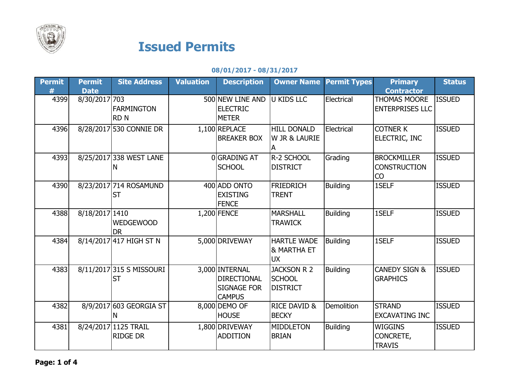

## Issued Permits

## 08/01/2017 - 08/31/2017

| <b>Permit</b> | <b>Permit</b>  | <b>Site Address</b>                     | <b>Valuation</b> | <b>Description</b>                                                          | <b>Owner Name</b>                                         | <b>Permit Types</b> | <b>Primary</b>                                  | <b>Status</b> |
|---------------|----------------|-----------------------------------------|------------------|-----------------------------------------------------------------------------|-----------------------------------------------------------|---------------------|-------------------------------------------------|---------------|
| 丑             | <b>Date</b>    |                                         |                  |                                                                             |                                                           |                     | <b>Contractor</b>                               |               |
| 4399          | 8/30/2017 703  | <b>FARMINGTON</b><br><b>RDN</b>         |                  | 500 NEW LINE AND<br><b>ELECTRIC</b><br><b>METER</b>                         | <b>U KIDS LLC</b>                                         | Electrical          | <b>THOMAS MOORE</b><br><b>ENTERPRISES LLC</b>   | <b>ISSUED</b> |
| 4396          |                | 8/28/2017 530 CONNIE DR                 |                  | 1,100 REPLACE<br><b>BREAKER BOX</b>                                         | <b>HILL DONALD</b><br><b>W JR &amp; LAURIE</b><br>ΙA      | Electrical          | <b>COTNER K</b><br>ELECTRIC, INC                | <b>ISSUED</b> |
| 4393          |                | 8/25/2017 338 WEST LANE<br>N            |                  | OGRADING AT<br><b>SCHOOL</b>                                                | <b>R-2 SCHOOL</b><br><b>DISTRICT</b>                      | Grading             | <b>BROCKMILLER</b><br><b>CONSTRUCTION</b><br>CO | <b>ISSUED</b> |
| 4390          |                | 8/23/2017 714 ROSAMUND<br><b>ST</b>     |                  | 400 ADD ONTO<br><b>EXISTING</b><br><b>FENCE</b>                             | <b>FRIEDRICH</b><br><b>TRENT</b>                          | <b>Building</b>     | 1SELF                                           | <b>ISSUED</b> |
| 4388          | 8/18/2017 1410 | <b>WEDGEWOOD</b><br><b>DR</b>           |                  | 1,200 FENCE                                                                 | <b>MARSHALL</b><br><b>TRAWICK</b>                         | <b>Building</b>     | 1SELF                                           | <b>ISSUED</b> |
| 4384          |                | 8/14/2017 417 HIGH ST N                 |                  | 5,000 DRIVEWAY                                                              | <b>HARTLE WADE</b><br><b>&amp; MARTHA ET</b><br><b>UX</b> | <b>Building</b>     | 1SELF                                           | <b>ISSUED</b> |
| 4383          |                | 8/11/2017 315 S MISSOURI<br><b>ST</b>   |                  | 3,000 INTERNAL<br><b>DIRECTIONAL</b><br><b>SIGNAGE FOR</b><br><b>CAMPUS</b> | <b>JACKSON R 2</b><br><b>SCHOOL</b><br><b>DISTRICT</b>    | <b>Building</b>     | <b>CANEDY SIGN &amp;</b><br><b>GRAPHICS</b>     | <b>ISSUED</b> |
| 4382          |                | 8/9/2017 603 GEORGIA ST<br>N            |                  | 8,000 DEMO OF<br><b>HOUSE</b>                                               | <b>RICE DAVID &amp;</b><br><b>BECKY</b>                   | Demolition          | <b>STRAND</b><br><b>EXCAVATING INC</b>          | <b>ISSUED</b> |
| 4381          |                | 8/24/2017 1125 TRAIL<br><b>RIDGE DR</b> |                  | 1,800 DRIVEWAY<br><b>ADDITION</b>                                           | MIDDLETON<br><b>BRIAN</b>                                 | <b>Building</b>     | <b>WIGGINS</b><br>CONCRETE,<br><b>TRAVIS</b>    | <b>ISSUED</b> |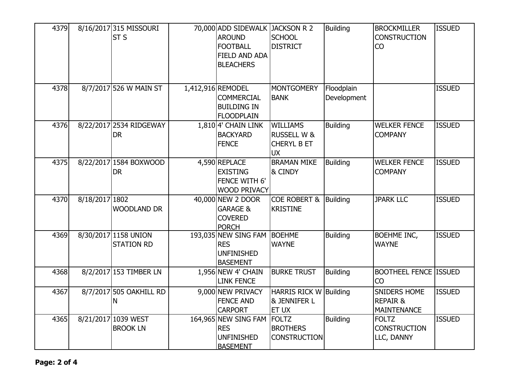| 4379 |                | 8/16/2017 315 MISSOURI<br><b>ST S</b>     | 70,000 ADD SIDEWALK JACKSON R 2<br><b>AROUND</b><br><b>FOOTBALL</b><br><b>FIELD AND ADA</b><br><b>BLEACHERS</b> | <b>SCHOOL</b><br><b>DISTRICT</b>                                             | <b>Building</b>           | <b>BROCKMILLER</b><br><b>CONSTRUCTION</b><br>CO    | <b>ISSUED</b> |
|------|----------------|-------------------------------------------|-----------------------------------------------------------------------------------------------------------------|------------------------------------------------------------------------------|---------------------------|----------------------------------------------------|---------------|
| 4378 |                | 8/7/2017 526 W MAIN ST                    | 1,412,916 REMODEL<br><b>COMMERCIAL</b><br><b>BUILDING IN</b><br><b>FLOODPLAIN</b>                               | MONTGOMERY<br><b>BANK</b>                                                    | Floodplain<br>Development |                                                    | <b>ISSUED</b> |
| 4376 |                | 8/22/2017 2534 RIDGEWAY<br><b>DR</b>      | $1,810$ <sup>4'</sup> CHAIN LINK<br><b>BACKYARD</b><br><b>FENCE</b>                                             | <b>WILLIAMS</b><br><b>RUSSELL W &amp;</b><br><b>CHERYL B ET</b><br><b>UX</b> | <b>Building</b>           | <b>WELKER FENCE</b><br><b>COMPANY</b>              | <b>ISSUED</b> |
| 4375 |                | 8/22/2017 1584 BOXWOOD<br><b>DR</b>       | 4,590 REPLACE<br><b>EXISTING</b><br>FENCE WITH 6'<br><b>WOOD PRIVACY</b>                                        | <b>BRAMAN MIKE</b><br>& CINDY                                                | <b>Building</b>           | <b>WELKER FENCE</b><br><b>COMPANY</b>              | <b>ISSUED</b> |
| 4370 | 8/18/2017 1802 | <b>WOODLAND DR</b>                        | 40,000 NEW 2 DOOR<br><b>GARAGE &amp;</b><br><b>COVERED</b><br><b>PORCH</b>                                      | <b>COE ROBERT &amp;</b><br><b>KRISTINE</b>                                   | Building                  | <b>JPARK LLC</b>                                   | <b>ISSUED</b> |
| 4369 |                | 8/30/2017 1158 UNION<br><b>STATION RD</b> | 193,035 NEW SING FAM BOEHME<br><b>RES</b><br><b>UNFINISHED</b><br><b>BASEMENT</b>                               | <b>WAYNE</b>                                                                 | <b>Building</b>           | <b>BOEHME INC,</b><br><b>WAYNE</b>                 | <b>ISSUED</b> |
| 4368 |                | 8/2/2017 153 TIMBER LN                    | $1,956$ NEW 4' CHAIN<br><b>LINK FENCE</b>                                                                       | <b>BURKE TRUST</b>                                                           | <b>Building</b>           | <b>BOOTHEEL FENCE ISSUED</b><br><b>CO</b>          |               |
| 4367 |                | 8/7/2017 505 OAKHILL RD<br>N              | 9,000 NEW PRIVACY<br><b>FENCE AND</b><br><b>CARPORT</b>                                                         | HARRIS RICK W Building<br><b>&amp; JENNIFER L</b><br><b>ET UX</b>            |                           | SNIDERS HOME<br><b>REPAIR &amp;</b><br>MAINTENANCE | <b>ISSUED</b> |
| 4365 |                | 8/21/2017 1039 WEST<br><b>BROOK LN</b>    | 164,965 NEW SING FAM FOLTZ<br><b>RES</b><br><b>UNFINISHED</b><br><b>BASEMENT</b>                                | <b>BROTHERS</b><br><b>CONSTRUCTION</b>                                       | <b>Building</b>           | <b>FOLTZ</b><br><b>CONSTRUCTION</b><br>LLC, DANNY  | <b>ISSUED</b> |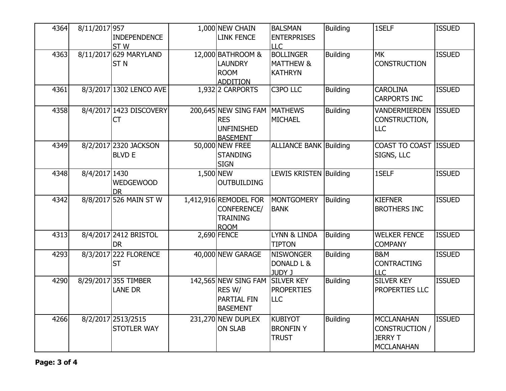| 4364 | 8/11/2017 957 |                         |           | 1,000 NEW CHAIN              | <b>BALSMAN</b>                | <b>Building</b> | 1SELF                 | <b>ISSUED</b> |
|------|---------------|-------------------------|-----------|------------------------------|-------------------------------|-----------------|-----------------------|---------------|
|      |               | <b>INDEPENDENCE</b>     |           | <b>LINK FENCE</b>            | <b>ENTERPRISES</b>            |                 |                       |               |
|      |               | <b>STW</b>              |           |                              | <b>LLC</b>                    |                 |                       |               |
| 4363 |               | 8/11/2017 629 MARYLAND  |           | 12,000 BATHROOM &            | <b>BOLLINGER</b>              | Building        | <b>MK</b>             | <b>ISSUED</b> |
|      |               | <b>STN</b>              |           | <b>LAUNDRY</b>               | <b>MATTHEW &amp;</b>          |                 | <b>CONSTRUCTION</b>   |               |
|      |               |                         |           | <b>ROOM</b>                  | <b>KATHRYN</b>                |                 |                       |               |
|      |               |                         |           | <b>ADDITION</b>              |                               |                 |                       |               |
| 4361 |               | 8/3/2017 1302 LENCO AVE |           | 1,932 2 CARPORTS             | C3PO LLC                      | <b>Building</b> | <b>CAROLINA</b>       | <b>ISSUED</b> |
|      |               |                         |           |                              |                               |                 | <b>CARPORTS INC</b>   |               |
| 4358 |               | 8/4/2017 1423 DISCOVERY |           | 200,645 NEW SING FAM MATHEWS |                               | <b>Building</b> | <b>VANDERMIERDEN</b>  | <b>ISSUED</b> |
|      |               | <b>CT</b>               |           | <b>RES</b>                   | <b>MICHAEL</b>                |                 | CONSTRUCTION,         |               |
|      |               |                         |           | <b>UNFINISHED</b>            |                               |                 | <b>LLC</b>            |               |
|      |               |                         |           | <b>BASEMENT</b>              |                               |                 |                       |               |
| 4349 |               | 8/2/2017 2320 JACKSON   |           | 50,000 NEW FREE              | <b>ALLIANCE BANK Building</b> |                 | COAST TO COAST ISSUED |               |
|      |               | <b>BLVD E</b>           |           | <b>STANDING</b>              |                               |                 | SIGNS, LLC            |               |
|      |               |                         |           | <b>SIGN</b>                  |                               |                 |                       |               |
| 4348 | 8/4/2017 1430 |                         | 1,500 NEW |                              | LEWIS KRISTEN Building        |                 | 1SELF                 | <b>ISSUED</b> |
|      |               | <b>WEDGEWOOD</b>        |           | <b>OUTBUILDING</b>           |                               |                 |                       |               |
|      |               | <b>DR</b>               |           |                              |                               |                 |                       |               |
| 4342 |               | 8/8/2017 526 MAIN ST W  |           | 1,412,916 REMODEL FOR        | <b>MONTGOMERY</b>             | <b>Building</b> | <b>KIEFNER</b>        | <b>ISSUED</b> |
|      |               |                         |           | <b>CONFERENCE/</b>           | <b>BANK</b>                   |                 | <b>BROTHERS INC</b>   |               |
|      |               |                         |           | <b>TRAINING</b>              |                               |                 |                       |               |
|      |               |                         |           | <b>ROOM</b>                  |                               |                 |                       |               |
| 4313 |               | 8/4/2017 2412 BRISTOL   |           | 2,690 FENCE                  | LYNN & LINDA                  | Building        | <b>WELKER FENCE</b>   | <b>ISSUED</b> |
|      |               | <b>DR</b>               |           |                              | <b>TIPTON</b>                 |                 | <b>COMPANY</b>        |               |
| 4293 |               | 8/3/2017 222 FLORENCE   |           | 40,000 NEW GARAGE            | <b>NISWONGER</b>              | <b>Building</b> | <b>B&amp;M</b>        | <b>ISSUED</b> |
|      |               | <b>ST</b>               |           |                              | DONALD L &                    |                 | <b>CONTRACTING</b>    |               |
|      |               |                         |           |                              | JUDY J                        |                 | <b>LLC</b>            |               |
| 4290 |               | 8/29/2017 355 TIMBER    |           | 142,565 NEW SING FAM         | <b>SILVER KEY</b>             | <b>Building</b> | <b>SILVER KEY</b>     | <b>ISSUED</b> |
|      |               | <b>LANE DR</b>          |           | RES W/                       | <b>PROPERTIES</b>             |                 | PROPERTIES LLC        |               |
|      |               |                         |           | <b>PARTIAL FIN</b>           | <b>LLC</b>                    |                 |                       |               |
|      |               |                         |           | <b>BASEMENT</b>              |                               |                 |                       |               |
| 4266 |               | 8/2/2017 2513/2515      |           | 231,270 NEW DUPLEX           | <b>KUBIYOT</b>                | <b>Building</b> | <b>MCCLANAHAN</b>     | <b>ISSUED</b> |
|      |               | <b>STOTLER WAY</b>      |           | <b>ON SLAB</b>               | <b>BRONFINY</b>               |                 | CONSTRUCTION /        |               |
|      |               |                         |           |                              | <b>TRUST</b>                  |                 | <b>JERRY T</b>        |               |
|      |               |                         |           |                              |                               |                 | <b>MCCLANAHAN</b>     |               |